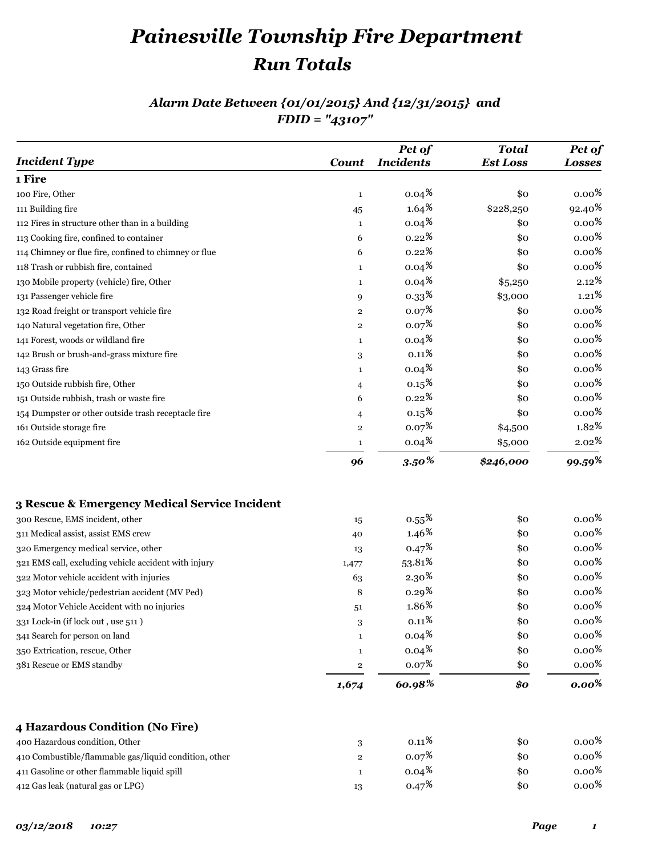# *Painesville Township Fire Department Run Totals*

#### *Alarm Date Between {01/01/2015} And {12/31/2015} and FDID = "43107"*

| <b>Incident Type</b>                                  | <b>Count</b>   | Pct of<br><b>Incidents</b> | <b>Total</b><br><b>Est Loss</b> | Pct of<br><b>Losses</b>                      |
|-------------------------------------------------------|----------------|----------------------------|---------------------------------|----------------------------------------------|
| 1 Fire                                                |                |                            |                                 |                                              |
| 100 Fire, Other                                       | $\mathbf{1}$   | $0.04\frac{8}{5}$          | \$0                             | $0.00\%$                                     |
| 111 Building fire                                     | 45             | $1.64\,{}^8$               | \$228,250                       | $92.40*$                                     |
| 112 Fires in structure other than in a building       | $\mathbf{1}$   | $0.04\frac{8}{3}$          | \$0                             | 0.00 $\frac{8}{3}$                           |
| 113 Cooking fire, confined to container               | 6              | $0.22\,{}^{8}$             | \$0                             | $0.00\,{}^8$                                 |
| 114 Chimney or flue fire, confined to chimney or flue | 6              | $0.22\,{}^{8}$             | \$0                             | $0.00\,{}^8$                                 |
| 118 Trash or rubbish fire, contained                  | $\mathbf{1}$   | $0.04\,{}^8$               | \$0                             | $0.00\,{}^8$                                 |
| 130 Mobile property (vehicle) fire, Other             | $\mathbf{1}$   | $0.04\,{}^8$               | \$5,250                         | $2.12\,{}^{{}^{{}^{{}^{{}^{\phantom{.}}}}}}$ |
| 131 Passenger vehicle fire                            | 9              | $0.33*$                    | \$3,000                         | $1.21\,{}^{\circ}$                           |
| 132 Road freight or transport vehicle fire            | $\overline{2}$ | 0.07 <sup>8</sup>          | \$0                             | $0.00\,{}^8$                                 |
| 140 Natural vegetation fire, Other                    | $\overline{2}$ | 0.07 <sup>8</sup>          | \$0                             | $0.00\,{}^8$                                 |
| 141 Forest, woods or wildland fire                    | $\mathbf{1}$   | 0.04 <sup>8</sup>          | \$0                             | $0.00\,{}^8$                                 |
| 142 Brush or brush-and-grass mixture fire             | 3              | $0.11\frac{8}{9}$          | \$0                             | $0.00\,{}^8$                                 |
| 143 Grass fire                                        | $\mathbf{1}$   | $0.04\frac{8}{3}$          | \$0                             | $0.00\,{}^8$                                 |
| 150 Outside rubbish fire, Other                       | 4              | 0.15 <sup>8</sup>          | \$0                             | $0.00\,{}^8$                                 |
| 151 Outside rubbish, trash or waste fire              | 6              | 0.22 <sup>8</sup>          | \$0                             | $0.00\,{}^8$                                 |
| 154 Dumpster or other outside trash receptacle fire   | 4              | 0.15 <sup>8</sup>          | \$0                             | $0.00\,{}^8$                                 |
| 161 Outside storage fire                              | $\mathbf 2$    | 0.07 <sup>8</sup>          | \$4,500                         | 1.82%                                        |
| 162 Outside equipment fire                            | $\mathbf{1}$   | $0.04\,{}^8$               | \$5,000                         | $2.02\,{}^{{}^{{}^{{}^{{}^{\phantom{.}}}}}}$ |
|                                                       | 96             | $3.50\%$                   | \$246,000                       | 99.59%                                       |
| 3 Rescue & Emergency Medical Service Incident         |                |                            |                                 |                                              |
| 300 Rescue, EMS incident, other                       | 15             | $0.55\,{}^{8}$             | \$0                             | $0.00\,{}^8$                                 |
| 311 Medical assist, assist EMS crew                   | 40             | $1.46\,$                   | \$0                             | $0.00\,{}^8$                                 |
| 320 Emergency medical service, other                  | 13             | 0.47 <sup>8</sup>          | \$0                             | $0.00\,{}^8$                                 |
| 321 EMS call, excluding vehicle accident with injury  | 1,477          | $53.81\,$                  | \$0                             | $0.00\,{}^8$                                 |
| 322 Motor vehicle accident with injuries              | 63             | 2.30 <sup>8</sup>          | \$0                             | $0.00\,{}^8$                                 |
| 323 Motor vehicle/pedestrian accident (MV Ped)        | 8              | 0.29 <sup>8</sup>          | \$0                             | $0.00\,{}^8$                                 |
| 324 Motor Vehicle Accident with no injuries           | 51             | 1.86%                      | \$0                             | $0.00\,{}^8$                                 |
| 331 Lock-in (if lock out, use 511)                    | 3              | $0.11\,{}^8$               | \$0                             | $0.00\,{}^8$                                 |
| 341 Search for person on land                         | $\mathbf{1}$   | $0.04*$                    | \$0                             | $0.00\,{}^8$                                 |
| 350 Extrication, rescue, Other                        | $\mathbf{1}$   | $0.04\,{}^8$               | \$0                             | $0.00\,{}^8$                                 |
| 381 Rescue or EMS standby                             | $\mathbf 2$    | 0.07 <sup>8</sup>          | \$0                             | $0.00\,{}^8$                                 |
|                                                       | 1,674          | 60.98%                     | \$0                             | $0.00\%$                                     |
|                                                       |                |                            |                                 |                                              |
| 4 Hazardous Condition (No Fire)                       |                |                            |                                 |                                              |
| 400 Hazardous condition, Other                        | 3              | $0.11\%$                   | \$0                             | $0.00\,{}^8$                                 |
| 410 Combustible/flammable gas/liquid condition, other | $\mathbf 2$    | 0.07 <sup>8</sup>          | \$0                             | $0.00\,{}^8$                                 |
| 411 Gasoline or other flammable liquid spill          | $\mathbf{1}$   | $0.04\frac{8}{3}$          | \$0                             | $0.00\,{}^8$                                 |
| 412 Gas leak (natural gas or LPG)                     | 13             | 0.47 <sup>8</sup>          | \$0                             | $0.00\,{}^8$                                 |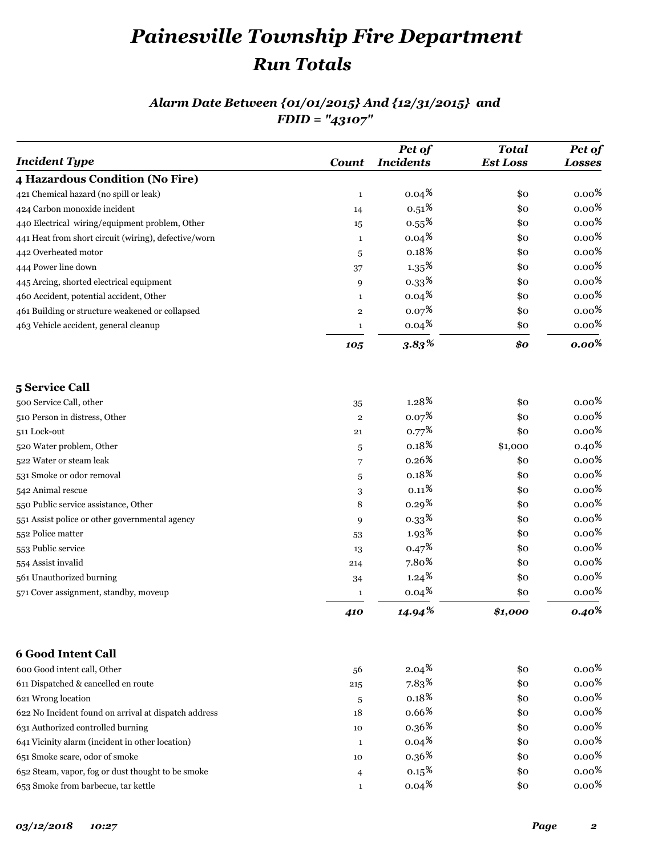## *Painesville Township Fire Department Run Totals*

### *Alarm Date Between {01/01/2015} And {12/31/2015} and FDID = "43107"*

| <b>Incident Type</b>                                 | Count                   | Pct of<br><b>Incidents</b> | <b>Total</b><br><b>Est Loss</b> | Pct of<br><b>Losses</b> |
|------------------------------------------------------|-------------------------|----------------------------|---------------------------------|-------------------------|
| 4 Hazardous Condition (No Fire)                      |                         |                            |                                 |                         |
| 421 Chemical hazard (no spill or leak)               | $\mathbf{1}$            | $0.04\frac{8}{5}$          | \$0                             | $0.00\,{}^8$            |
| 424 Carbon monoxide incident                         | 14                      | $0.51\,{}^8$               | \$0                             | $0.00\,{}^8$            |
| 440 Electrical wiring/equipment problem, Other       | 15                      | 0.55 <sup>8</sup>          | \$0                             | $0.00\,{}^8$            |
| 441 Heat from short circuit (wiring), defective/worn | $\mathbf{1}$            | $0.04\frac{8}{3}$          | \$0                             | $0.00\,{}^8$            |
| 442 Overheated motor                                 | 5                       | $0.18\,{}^{\circ}$         | \$ο                             | $0.00\,{}^8$            |
| 444 Power line down                                  | 37                      | 1.35 <sup>8</sup>          | \$0                             | $0.00\,{}^8$            |
| 445 Arcing, shorted electrical equipment             | 9                       | $0.33*$                    | \$0                             | $0.00\,{}^{\text{8}}$   |
| 460 Accident, potential accident, Other              | $\mathbf{1}$            | $0.04\frac{8}{5}$          | \$0                             | $0.00\,{}^8$            |
| 461 Building or structure weakened or collapsed      | $\overline{\mathbf{2}}$ | $0.07\frac{8}{3}$          | \$0                             | $0.00\,{}^8$            |
| 463 Vehicle accident, general cleanup                | $\mathbf{1}$            | $0.04\,{}^8$               | \$ο                             | $0.00\,{}^8$            |
|                                                      | 105                     | 3.83%                      | \$0                             | $0.00\%$                |
| 5 Service Call                                       |                         |                            |                                 |                         |
| 500 Service Call, other                              | 35                      | 1.28 <sup>8</sup>          | \$0                             | $0.00\,{}^8$            |
| 510 Person in distress, Other                        | $\bf{2}$                | 0.07 <sup>8</sup>          | \$0                             | $0.00\,{}^8$            |
| 511 Lock-out                                         | 21                      | 0.77 <sup>8</sup>          | \$0                             | $0.00\,{}^8$            |
| 520 Water problem, Other                             | 5                       | 0.18 <sup>8</sup>          | \$1,000                         | $0.40\,{}^8$            |
| 522 Water or steam leak                              | 7                       | 0.26 <sup>8</sup>          | \$0                             | $0.00\,{}^8$            |
| 531 Smoke or odor removal                            | 5                       | 0.18 <sup>8</sup>          | \$0                             | $0.00\,{}^8$            |
| 542 Animal rescue                                    | 3                       | $0.11\%$                   | \$0                             | $0.00\,{}^8$            |
| 550 Public service assistance, Other                 | 8                       | 0.29 <sup>8</sup>          | \$ο                             | $0.00\,{}^8$            |
| 551 Assist police or other governmental agency       | 9                       | 0.33 <sup>8</sup>          | \$0                             | $0.00\,{}^8$            |
| 552 Police matter                                    | 53                      | 1.93 <sup>8</sup>          | \$0                             | $0.00\,{}^8$            |
| 553 Public service                                   | 13                      | 0.47 <sup>8</sup>          | \$0                             | $0.00\,{}^8$            |
| 554 Assist invalid                                   | 214                     | $7.80*$                    | \$ο                             | $0.00\,{}^8$            |
| 561 Unauthorized burning                             | 34                      | 1.24 <sup>8</sup>          | \$0                             | $0.00\,{}^8$            |
| 571 Cover assignment, standby, moveup                | $\mathbf{1}$            | $0.04\frac{8}{3}$          | \$0                             | $0.00\,{}^{\circ}$      |
|                                                      | 410                     | $14.94\%$                  | \$1,000                         | $0.40*$                 |
| <b>6 Good Intent Call</b>                            |                         |                            |                                 |                         |
| 600 Good intent call, Other                          | 56                      | $2.04\,{}^8$               | \$0                             | $0.00\,{}^8$            |
| 611 Dispatched & cancelled en route                  | 215                     | $7.83*$                    | \$0                             | $0.00\,\mathrm{\AA}$    |
| 621 Wrong location                                   | 5                       | 0.18 <sup>8</sup>          | \$0                             | $0.00\,{}^8$            |
| 622 No Incident found on arrival at dispatch address | 18                      | 0.66%                      | \$0                             | $0.00\,{}^{\text{8}}$   |
| 631 Authorized controlled burning                    | 10                      | $0.36*$                    | \$0                             | $0.00\,{}^8$            |
| 641 Vicinity alarm (incident in other location)      | 1                       | $0.04\,{}^8$               | \$0                             | $0.00\,{}^8$            |
| 651 Smoke scare, odor of smoke                       | 10                      | $0.36*$                    | \$0                             | $0.00\,{}^8$            |
| 652 Steam, vapor, fog or dust thought to be smoke    | $\overline{4}$          | 0.15 <sup>8</sup>          | \$0                             | $0.00\,{}^{\text{8}}$   |
| 653 Smoke from barbecue, tar kettle                  | $\mathbf{1}$            | $0.04\frac{8}{5}$          | \$0                             | $0.00\,{}^8$            |